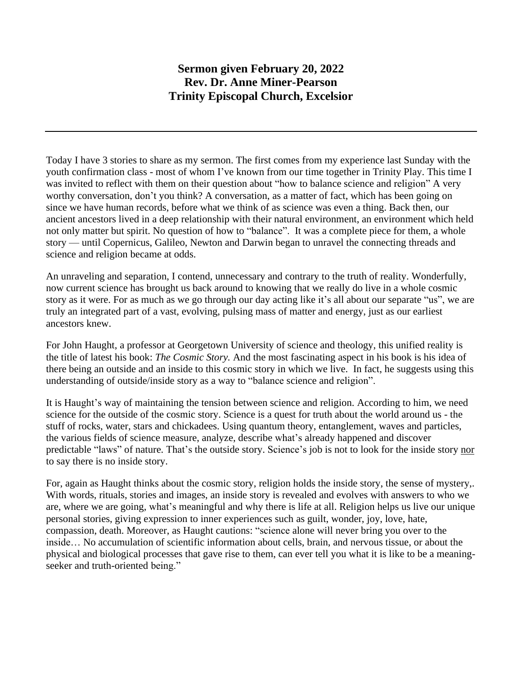## **Sermon given February 20, 2022 Rev. Dr. Anne Miner-Pearson Trinity Episcopal Church, Excelsior**

Today I have 3 stories to share as my sermon. The first comes from my experience last Sunday with the youth confirmation class - most of whom I've known from our time together in Trinity Play. This time I was invited to reflect with them on their question about "how to balance science and religion" A very worthy conversation, don't you think? A conversation, as a matter of fact, which has been going on since we have human records, before what we think of as science was even a thing. Back then, our ancient ancestors lived in a deep relationship with their natural environment, an environment which held not only matter but spirit. No question of how to "balance". It was a complete piece for them, a whole story — until Copernicus, Galileo, Newton and Darwin began to unravel the connecting threads and science and religion became at odds.

An unraveling and separation, I contend, unnecessary and contrary to the truth of reality. Wonderfully, now current science has brought us back around to knowing that we really do live in a whole cosmic story as it were. For as much as we go through our day acting like it's all about our separate "us", we are truly an integrated part of a vast, evolving, pulsing mass of matter and energy, just as our earliest ancestors knew.

For John Haught, a professor at Georgetown University of science and theology, this unified reality is the title of latest his book: *The Cosmic Story.* And the most fascinating aspect in his book is his idea of there being an outside and an inside to this cosmic story in which we live. In fact, he suggests using this understanding of outside/inside story as a way to "balance science and religion".

It is Haught's way of maintaining the tension between science and religion. According to him, we need science for the outside of the cosmic story. Science is a quest for truth about the world around us - the stuff of rocks, water, stars and chickadees. Using quantum theory, entanglement, waves and particles, the various fields of science measure, analyze, describe what's already happened and discover predictable "laws" of nature. That's the outside story. Science's job is not to look for the inside story nor to say there is no inside story.

For, again as Haught thinks about the cosmic story, religion holds the inside story, the sense of mystery,. With words, rituals, stories and images, an inside story is revealed and evolves with answers to who we are, where we are going, what's meaningful and why there is life at all. Religion helps us live our unique personal stories, giving expression to inner experiences such as guilt, wonder, joy, love, hate, compassion, death. Moreover, as Haught cautions: "science alone will never bring you over to the inside… No accumulation of scientific information about cells, brain, and nervous tissue, or about the physical and biological processes that gave rise to them, can ever tell you what it is like to be a meaningseeker and truth-oriented being."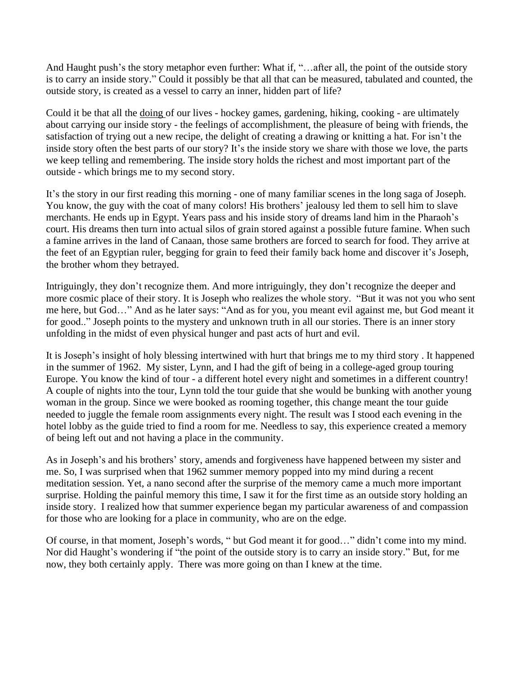And Haught push's the story metaphor even further: What if, "…after all, the point of the outside story is to carry an inside story." Could it possibly be that all that can be measured, tabulated and counted, the outside story, is created as a vessel to carry an inner, hidden part of life?

Could it be that all the doing of our lives - hockey games, gardening, hiking, cooking - are ultimately about carrying our inside story - the feelings of accomplishment, the pleasure of being with friends, the satisfaction of trying out a new recipe, the delight of creating a drawing or knitting a hat. For isn't the inside story often the best parts of our story? It's the inside story we share with those we love, the parts we keep telling and remembering. The inside story holds the richest and most important part of the outside - which brings me to my second story.

It's the story in our first reading this morning - one of many familiar scenes in the long saga of Joseph. You know, the guy with the coat of many colors! His brothers' jealousy led them to sell him to slave merchants. He ends up in Egypt. Years pass and his inside story of dreams land him in the Pharaoh's court. His dreams then turn into actual silos of grain stored against a possible future famine. When such a famine arrives in the land of Canaan, those same brothers are forced to search for food. They arrive at the feet of an Egyptian ruler, begging for grain to feed their family back home and discover it's Joseph, the brother whom they betrayed.

Intriguingly, they don't recognize them. And more intriguingly, they don't recognize the deeper and more cosmic place of their story. It is Joseph who realizes the whole story. "But it was not you who sent me here, but God…" And as he later says: "And as for you, you meant evil against me, but God meant it for good.." Joseph points to the mystery and unknown truth in all our stories. There is an inner story unfolding in the midst of even physical hunger and past acts of hurt and evil.

It is Joseph's insight of holy blessing intertwined with hurt that brings me to my third story . It happened in the summer of 1962. My sister, Lynn, and I had the gift of being in a college-aged group touring Europe. You know the kind of tour - a different hotel every night and sometimes in a different country! A couple of nights into the tour, Lynn told the tour guide that she would be bunking with another young woman in the group. Since we were booked as rooming together, this change meant the tour guide needed to juggle the female room assignments every night. The result was I stood each evening in the hotel lobby as the guide tried to find a room for me. Needless to say, this experience created a memory of being left out and not having a place in the community.

As in Joseph's and his brothers' story, amends and forgiveness have happened between my sister and me. So, I was surprised when that 1962 summer memory popped into my mind during a recent meditation session. Yet, a nano second after the surprise of the memory came a much more important surprise. Holding the painful memory this time, I saw it for the first time as an outside story holding an inside story. I realized how that summer experience began my particular awareness of and compassion for those who are looking for a place in community, who are on the edge.

Of course, in that moment, Joseph's words, " but God meant it for good…" didn't come into my mind. Nor did Haught's wondering if "the point of the outside story is to carry an inside story." But, for me now, they both certainly apply. There was more going on than I knew at the time.